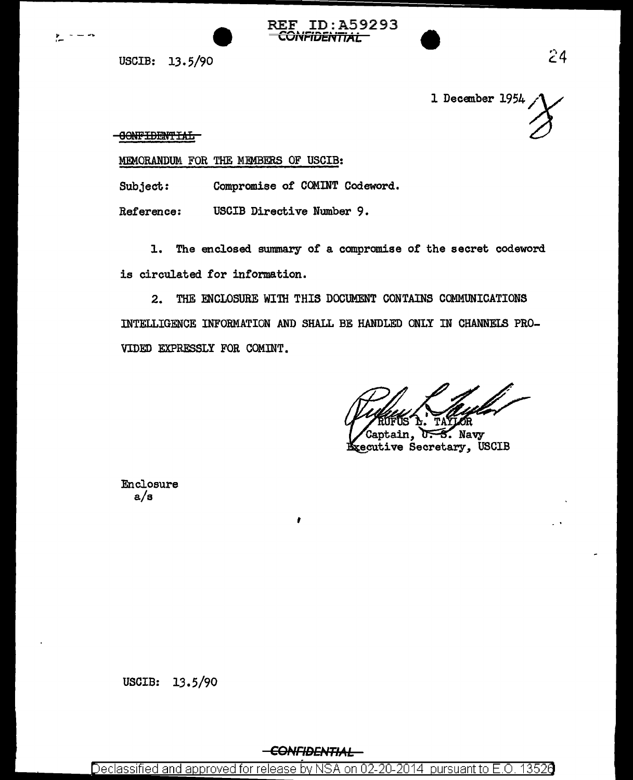

REF ID:A59293 CONFIDENTIAL

USCIB: 13. 5/90

1 December 1954

**OONFIDENTIAL** 

MEMORANDUM FOR THE MEMBERS OF USCIB:

Subject: Compromise of COMINT Codeword.

Reference: USCIB Directive Number 9.

1. The enclosed swnmary of a compromise of the secret codeword. is circulated for information.

2. THE ENCLOSURE WITH THIS DOCUMENT CONTAINS COMMUNICATIONS INTELLIGENCE INFORMATION AND SHALL BE HANDLED ONLY IN CHANNELS PRO-VIDED EXPRESSLY FOR COMINT.

3. Navy xecutive Secretary, USCIB

Enclosure a/s

USCIB: 13.5/90

,

Declassified and approved for release by NSA on 02-20-2014 pursuant to  $E$ .O. 13526